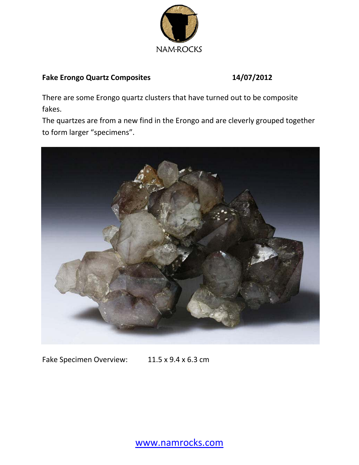

## **Fake Erongo Quartz Composites 14/07/2012**

There are some Erongo quartz clusters that have turned out to be composite fakes.

The quartzes are from a new find in the Erongo and are cleverly grouped together to form larger "specimens".



Fake Specimen Overview: 11.5 x 9.4 x 6.3 cm

www.namrocks.com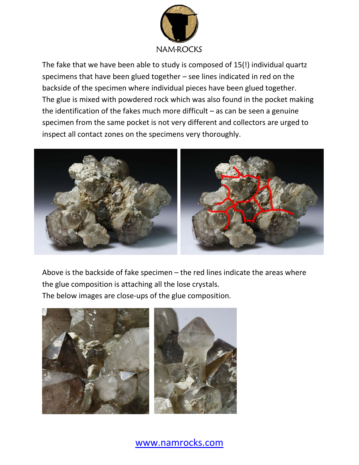

The fake that we have been able to study is composed of 15(!) individual quartz specimens that have been glued together – see lines indicated in red on the backside of the specimen where individual pieces have been glued together. The glue is mixed with powdered rock which was also found in the pocket making the identification of the fakes much more difficult – as can be seen a genuine specimen from the same pocket is not very different and collectors are urged to inspect all contact zones on the specimens very thoroughly.



Above is the backside of fake specimen – the red lines indicate the areas where the glue composition is attaching all the lose crystals. The below images are close-ups of the glue composition.



www.namrocks.com